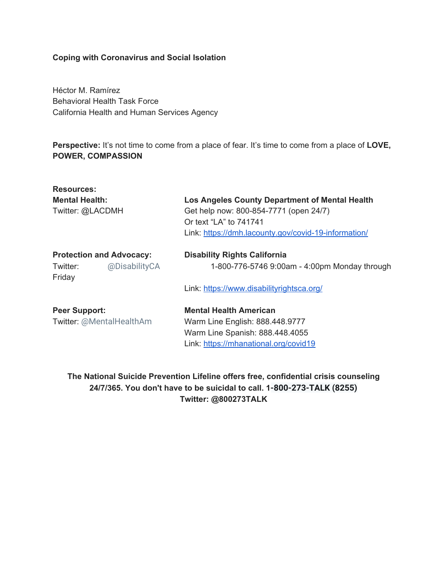## **Coping with Coronavirus and Social Isolation**

Héctor M. Ramírez Behavioral Health Task Force California Health and Human Services Agency

**Perspective:** It's not time to come from a place of fear. It's time to come from a place of **LOVE, POWER, COMPASSION**

| <b>Resources:</b>               |                                                      |
|---------------------------------|------------------------------------------------------|
| <b>Mental Health:</b>           | Los Angeles County Department of Mental Health       |
| Twitter: @LACDMH                | Get help now: 800-854-7771 (open 24/7)               |
|                                 | Or text "LA" to 741741                               |
|                                 | Link: https://dmh.lacounty.gov/covid-19-information/ |
| <b>Protection and Advocacy:</b> | <b>Disability Rights California</b>                  |
| @DisabilityCA<br>Twitter:       | 1-800-776-5746 9:00am - 4:00pm Monday through        |
| Friday                          |                                                      |
|                                 | Link: https://www.disabilityrightsca.org/            |
| <b>Peer Support:</b>            | <b>Mental Health American</b>                        |
| Twitter: @MentalHealthAm        | Warm Line English: 888.448.9777                      |
|                                 | Warm Line Spanish: 888.448.4055                      |
|                                 | Link: https://mhanational.org/covid19                |
|                                 |                                                      |

**The National Suicide Prevention Lifeline offers free, confidential crisis counseling 24/7/365. You don't have to be suicidal to call. 1-800-273-TALK (8255) Twitter: @800273TALK**